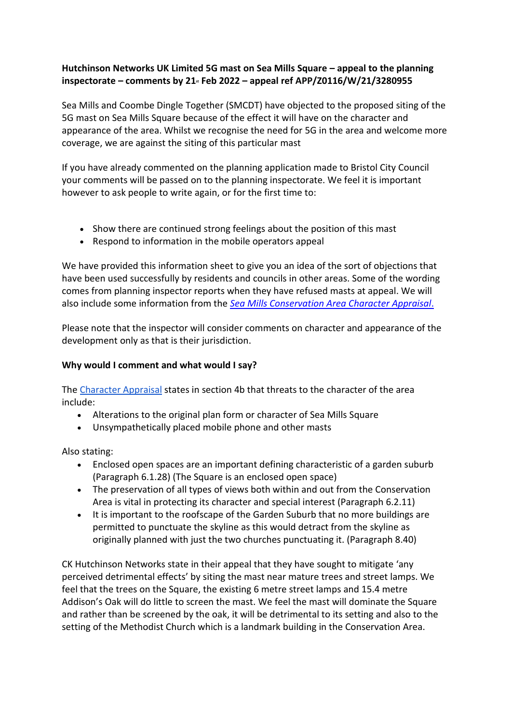# **Hutchinson Networks UK Limited 5G mast on Sea Mills Square – appeal to the planning inspectorate – comments by 21st Feb 2022 – appeal ref APP/Z0116/W/21/3280955**

Sea Mills and Coombe Dingle Together (SMCDT) have objected to the proposed siting of the 5G mast on Sea Mills Square because of the effect it will have on the character and appearance of the area. Whilst we recognise the need for 5G in the area and welcome more coverage, we are against the siting of this particular mast

If you have already commented on the planning application made to Bristol City Council your comments will be passed on to the planning inspectorate. We feel it is important however to ask people to write again, or for the first time to:

- Show there are continued strong feelings about the position of this mast
- Respond to information in the mobile operators appeal

We have provided this information sheet to give you an idea of the sort of objections that have been used successfully by residents and councils in other areas. Some of the wording comes from planning inspector reports when they have refused masts at appeal. We will also include some information from the *[Sea Mills Conservation Area Character Appraisal](https://www.bristol.gov.uk/documents/20182/33832/sea-mills-character-appraisal.pdf/0278d384-f6b8-4dc2-b4e0-e5048c5731f3)*.

Please note that the inspector will consider comments on character and appearance of the development only as that is their jurisdiction.

## **Why would I comment and what would I say?**

The [Character Appraisal](https://www.bristol.gov.uk/documents/20182/33832/sea-mills-character-appraisal.pdf/0278d384-f6b8-4dc2-b4e0-e5048c5731f3) states in section 4b that threats to the character of the area include:

- Alterations to the original plan form or character of Sea Mills Square
- Unsympathetically placed mobile phone and other masts

Also stating:

- Enclosed open spaces are an important defining characteristic of a garden suburb (Paragraph 6.1.28) (The Square is an enclosed open space)
- The preservation of all types of views both within and out from the Conservation Area is vital in protecting its character and special interest (Paragraph 6.2.11)
- It is important to the roofscape of the Garden Suburb that no more buildings are permitted to punctuate the skyline as this would detract from the skyline as originally planned with just the two churches punctuating it. (Paragraph 8.40)

CK Hutchinson Networks state in their appeal that they have sought to mitigate 'any perceived detrimental effects' by siting the mast near mature trees and street lamps. We feel that the trees on the Square, the existing 6 metre street lamps and 15.4 metre Addison's Oak will do little to screen the mast. We feel the mast will dominate the Square and rather than be screened by the oak, it will be detrimental to its setting and also to the setting of the Methodist Church which is a landmark building in the Conservation Area.